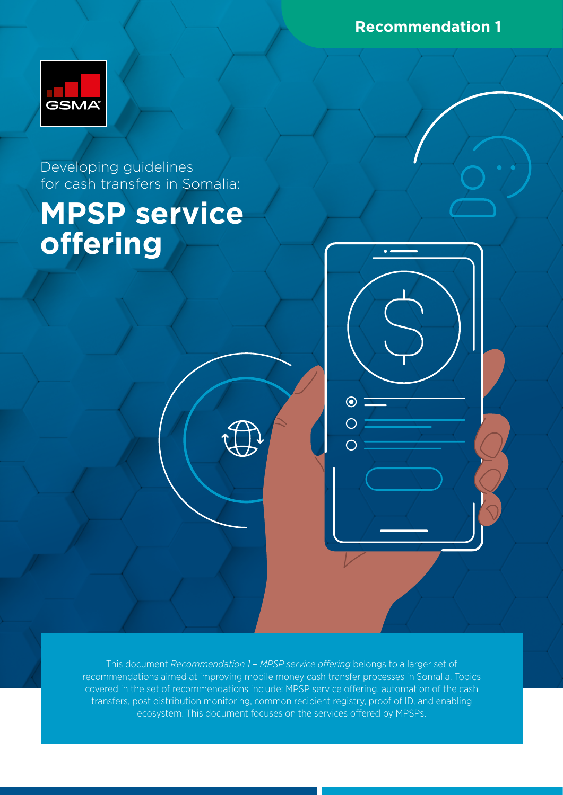**Recommendation 1**



Developing guidelines for cash transfers in Somalia:

# **MPSP service offering**

This document *Recommendation 1 – MPSP service offering* belongs to a larger set of recommendations aimed at improving mobile money cash transfer processes in Somalia. Topics covered in the set of recommendations include: MPSP service offering, automation of the cash transfers, post distribution monitoring, common recipient registry, proof of ID, and enabling ecosystem. This document focuses on the services offered by MPSPs.

 $\odot$ 

 $\bigcirc$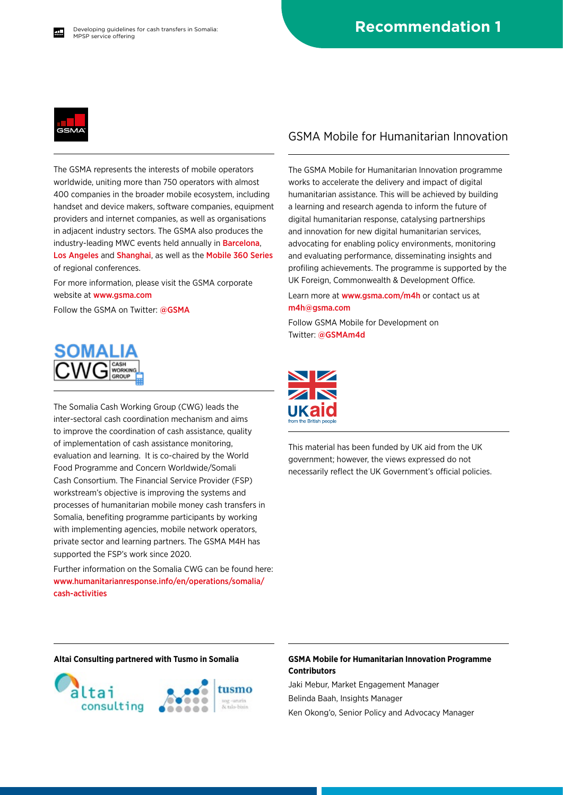

The GSMA represents the interests of mobile operators worldwide, uniting more than 750 operators with almost 400 companies in the broader mobile ecosystem, including handset and device makers, software companies, equipment providers and internet companies, as well as organisations in adjacent industry sectors. The GSMA also produces the industry-leading MWC events held annually in [Barcelona](https://www.mwcbarcelona.com), [Los Angeles](https://www.mwclosangeles.com/home1/) and [Shanghai](https://www.mwcshanghai.com), as well as the [Mobile 360 Series](https://www.mobile360series.com) of regional conferences.

For more information, please visit the GSMA corporate website at [www.gsma.com](https://www.gsma.com)

Follow the GSMA on Twitter: [@GSMA](https://twitter.com/gsma)



The Somalia Cash Working Group (CWG) leads the inter-sectoral cash coordination mechanism and aims to improve the coordination of cash assistance, quality of implementation of cash assistance monitoring, evaluation and learning. It is co-chaired by the World Food Programme and Concern Worldwide/Somali Cash Consortium. The Financial Service Provider (FSP) workstream's objective is improving the systems and processes of humanitarian mobile money cash transfers in Somalia, benefiting programme participants by working with implementing agencies, mobile network operators, private sector and learning partners. The GSMA M4H has supported the FSP's work since 2020.

Further information on the Somalia CWG can be found here: [www.humanitarianresponse.info/en/operations/somalia/](https://www.humanitarianresponse.info/en/operations/somalia/cash-activities) [cash-activities](https://www.humanitarianresponse.info/en/operations/somalia/cash-activities)

#### GSMA Mobile for Humanitarian Innovation

The GSMA Mobile for Humanitarian Innovation programme works to accelerate the delivery and impact of digital humanitarian assistance. This will be achieved by building a learning and research agenda to inform the future of digital humanitarian response, catalysing partnerships and innovation for new digital humanitarian services, advocating for enabling policy environments, monitoring and evaluating performance, disseminating insights and profiling achievements. The programme is supported by the UK Foreign, Commonwealth & Development Office.

Learn more at [www.gsma.com/m4h](https://www.gsma.com/mobilefordevelopment/mobile-for-humanitarian-innovation/) or contact us at [m4h@gsma.com](mailto:m4h%40gsma.com?subject=) 

Follow GSMA Mobile for Development on Twitter: [@GSMAm4d](https://twitter.com/GSMAm4d)



This material has been funded by UK aid from the UK government; however, the views expressed do not necessarily reflect the UK Government's official policies.



#### **Altai Consulting partnered with Tusmo in Somalia GSMA Mobile for Humanitarian Innovation Programme Contributors**

Jaki Mebur, Market Engagement Manager Belinda Baah, Insights Manager Ken Okong'o, Senior Policy and Advocacy Manager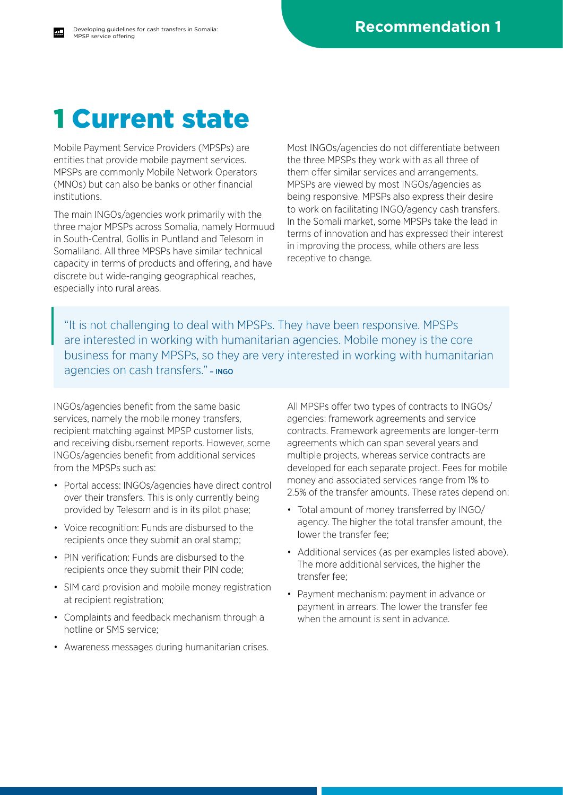### 1 Current state

Mobile Payment Service Providers (MPSPs) are entities that provide mobile payment services. MPSPs are commonly Mobile Network Operators (MNOs) but can also be banks or other financial institutions.

The main INGOs/agencies work primarily with the three major MPSPs across Somalia, namely Hormuud in South-Central, Gollis in Puntland and Telesom in Somaliland. All three MPSPs have similar technical capacity in terms of products and offering, and have discrete but wide-ranging geographical reaches, especially into rural areas.

Most INGOs/agencies do not differentiate between the three MPSPs they work with as all three of them offer similar services and arrangements. MPSPs are viewed by most INGOs/agencies as being responsive. MPSPs also express their desire to work on facilitating INGO/agency cash transfers. In the Somali market, some MPSPs take the lead in terms of innovation and has expressed their interest in improving the process, while others are less receptive to change.

"It is not challenging to deal with MPSPs. They have been responsive. MPSPs are interested in working with humanitarian agencies. Mobile money is the core business for many MPSPs, so they are very interested in working with humanitarian agencies on cash transfers." - INGO

INGOs/agencies benefit from the same basic services, namely the mobile money transfers, recipient matching against MPSP customer lists, and receiving disbursement reports. However, some INGOs/agencies benefit from additional services from the MPSPs such as:

- Portal access: INGOs/agencies have direct control over their transfers. This is only currently being provided by Telesom and is in its pilot phase;
- Voice recognition: Funds are disbursed to the recipients once they submit an oral stamp;
- PIN verification: Funds are disbursed to the recipients once they submit their PIN code;
- SIM card provision and mobile money registration at recipient registration;
- Complaints and feedback mechanism through a hotline or SMS service;
- Awareness messages during humanitarian crises.

All MPSPs offer two types of contracts to INGOs/ agencies: framework agreements and service contracts. Framework agreements are longer-term agreements which can span several years and multiple projects, whereas service contracts are developed for each separate project. Fees for mobile money and associated services range from 1% to 2.5% of the transfer amounts. These rates depend on:

- Total amount of money transferred by INGO/ agency. The higher the total transfer amount, the lower the transfer fee;
- Additional services (as per examples listed above). The more additional services, the higher the transfer fee;
- Payment mechanism: payment in advance or payment in arrears. The lower the transfer fee when the amount is sent in advance.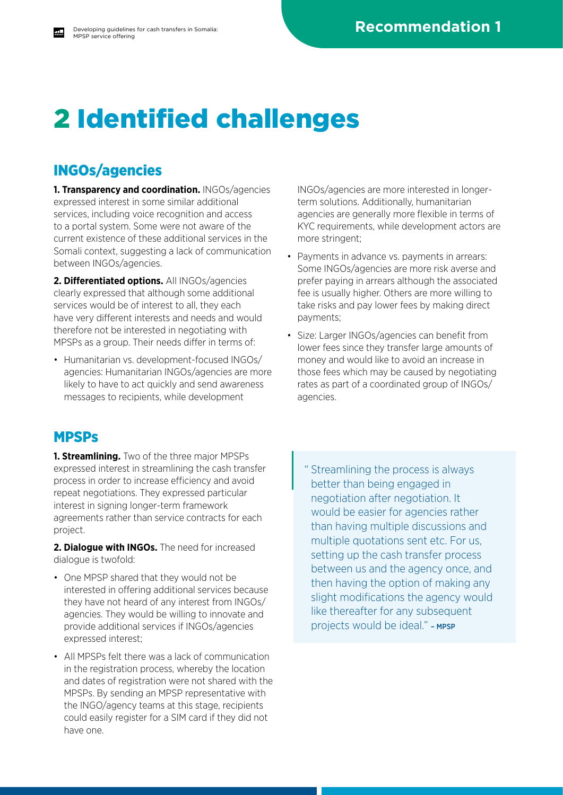# 2 Identified challenges

### INGOs/agencies

**1. Transparency and coordination.** INGOs/agencies expressed interest in some similar additional services, including voice recognition and access to a portal system. Some were not aware of the current existence of these additional services in the Somali context, suggesting a lack of communication between INGOs/agencies.

**2. Differentiated options.** All INGOs/agencies clearly expressed that although some additional services would be of interest to all, they each have very different interests and needs and would therefore not be interested in negotiating with MPSPs as a group. Their needs differ in terms of:

• Humanitarian vs. development-focused INGOs/ agencies: Humanitarian INGOs/agencies are more likely to have to act quickly and send awareness messages to recipients, while development

### MPSPs

**1. Streamlining.** Two of the three major MPSPs expressed interest in streamlining the cash transfer process in order to increase efficiency and avoid repeat negotiations. They expressed particular interest in signing longer-term framework agreements rather than service contracts for each project.

**2. Dialogue with INGOs.** The need for increased dialogue is twofold:

- One MPSP shared that they would not be interested in offering additional services because they have not heard of any interest from INGOs/ agencies. They would be willing to innovate and provide additional services if INGOs/agencies expressed interest;
- All MPSPs felt there was a lack of communication in the registration process, whereby the location and dates of registration were not shared with the MPSPs. By sending an MPSP representative with the INGO/agency teams at this stage, recipients could easily register for a SIM card if they did not have one.

INGOs/agencies are more interested in longerterm solutions. Additionally, humanitarian agencies are generally more flexible in terms of KYC requirements, while development actors are more stringent;

- Payments in advance vs. payments in arrears: Some INGOs/agencies are more risk averse and prefer paying in arrears although the associated fee is usually higher. Others are more willing to take risks and pay lower fees by making direct payments;
- Size: Larger INGOs/agencies can benefit from lower fees since they transfer large amounts of money and would like to avoid an increase in those fees which may be caused by negotiating rates as part of a coordinated group of INGOs/ agencies.

" Streamlining the process is always better than being engaged in negotiation after negotiation. It would be easier for agencies rather than having multiple discussions and multiple quotations sent etc. For us, setting up the cash transfer process between us and the agency once, and then having the option of making any slight modifications the agency would like thereafter for any subsequent projects would be ideal." - MPSP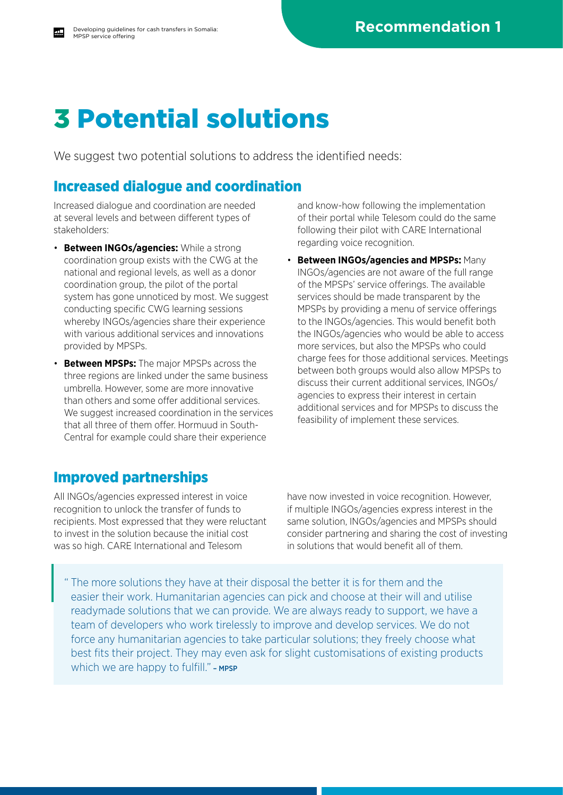# 3 Potential solutions

We suggest two potential solutions to address the identified needs:

### Increased dialogue and coordination

Increased dialogue and coordination are needed at several levels and between different types of stakeholders:

- **Between INGOs/agencies:** While a strong coordination group exists with the CWG at the national and regional levels, as well as a donor coordination group, the pilot of the portal system has gone unnoticed by most. We suggest conducting specific CWG learning sessions whereby INGOs/agencies share their experience with various additional services and innovations provided by MPSPs.
- **Between MPSPs:** The major MPSPs across the three regions are linked under the same business umbrella. However, some are more innovative than others and some offer additional services. We suggest increased coordination in the services that all three of them offer. Hormuud in South-Central for example could share their experience

and know-how following the implementation of their portal while Telesom could do the same following their pilot with CARE International regarding voice recognition.

• **Between INGOs/agencies and MPSPs:** Many INGOs/agencies are not aware of the full range of the MPSPs' service offerings. The available services should be made transparent by the MPSPs by providing a menu of service offerings to the INGOs/agencies. This would benefit both the INGOs/agencies who would be able to access more services, but also the MPSPs who could charge fees for those additional services. Meetings between both groups would also allow MPSPs to discuss their current additional services, INGOs/ agencies to express their interest in certain additional services and for MPSPs to discuss the feasibility of implement these services.

### Improved partnerships

All INGOs/agencies expressed interest in voice recognition to unlock the transfer of funds to recipients. Most expressed that they were reluctant to invest in the solution because the initial cost was so high. CARE International and Telesom

have now invested in voice recognition. However, if multiple INGOs/agencies express interest in the same solution, INGOs/agencies and MPSPs should consider partnering and sharing the cost of investing in solutions that would benefit all of them.

" The more solutions they have at their disposal the better it is for them and the easier their work. Humanitarian agencies can pick and choose at their will and utilise readymade solutions that we can provide. We are always ready to support, we have a team of developers who work tirelessly to improve and develop services. We do not force any humanitarian agencies to take particular solutions; they freely choose what best fits their project. They may even ask for slight customisations of existing products which we are happy to fulfill." - MPSP